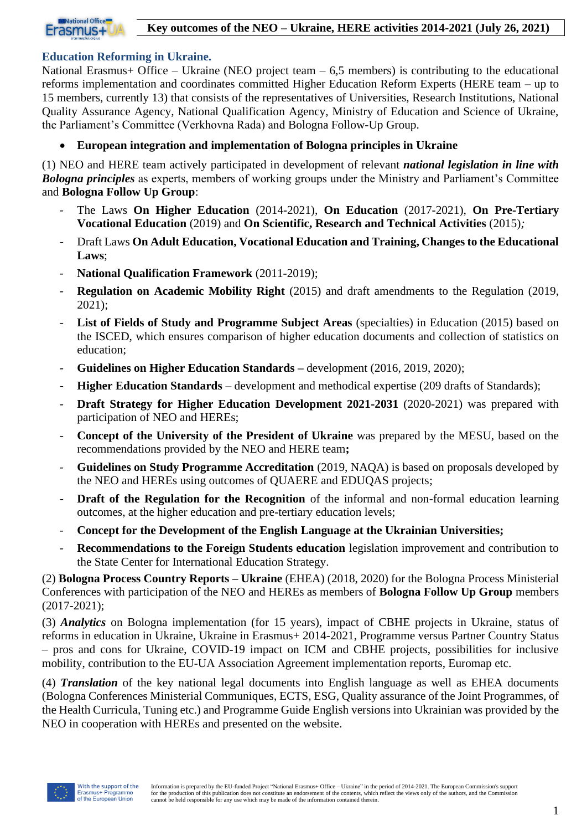

#### **Education Reforming in Ukraine.**

National Erasmus+ Office – Ukraine (NEO project team  $-6.5$  members) is contributing to the educational reforms implementation and coordinates committed Higher Education Reform Experts (HERE team – up to 15 members, currently 13) that consists of the representatives of Universities, Research Institutions, National Quality Assurance Agency, National Qualification Agency, Ministry of Education and Science of Ukraine, the Parliament's Committee (Verkhovna Rada) and Bologna Follow-Up Group.

• **European integration and implementation of Bologna principles in Ukraine**

(1) NEO and HERE team actively participated in development of relevant *national legislation in line with Bologna principles* as experts, members of working groups under the Ministry and Parliament's Committee and **Bologna Follow Up Group**:

- The Laws **On Higher Education** (2014-2021), **On Education** (2017-2021), **On Pre-Tertiary Vocational Education** (2019) and **On Scientific, Research and Technical Activities** (2015)*;*
- Draft Laws **On Adult Education, Vocational Education and Training, Changes to the Educational Laws**;
- **National Qualification Framework** (2011-2019);
- **Regulation on Academic Mobility Right** (2015) and draft amendments to the Regulation (2019, 2021);
- **List of Fields of Study and Programme Subject Areas** (specialties) in Education (2015) based on the ISCED, which ensures comparison of higher education documents and collection of statistics on education;
- **Guidelines on Higher Education Standards –** development (2016, 2019, 2020);
- **Higher Education Standards** development and methodical expertise (209 drafts of Standards);
- **Draft Strategy for Higher Education Development 2021-2031** (2020-2021) was prepared with participation of NEO and HEREs;
- **Concept of the University of the President of Ukraine** was prepared by the MESU, based on the recommendations provided by the NEO and HERE team**;**
- **Guidelines on Study Programme Accreditation** (2019, NAQA) is based on proposals developed by the NEO and HEREs using outcomes of QUAERE and EDUQAS projects;
- **Draft** of the Regulation for the Recognition of the informal and non-formal education learning outcomes, at the higher education and pre-tertiary education levels;
- **Concept for the Development of the English Language at the Ukrainian Universities;**
- **Recommendations to the Foreign Students education** legislation improvement and contribution to the State Center for International Education Strategy.

(2) **Bologna Process Country Reports – Ukraine** (EHEA) (2018, 2020) for the Bologna Process Ministerial Conferences with participation of the NEO and HEREs as members of **Bologna Follow Up Group** members (2017-2021);

(3) *Analytics* on Bologna implementation (for 15 years), impact of CBHE projects in Ukraine, status of reforms in education in Ukraine, Ukraine in Erasmus+ 2014-2021, Programme versus Partner Country Status – pros and cons for Ukraine, COVID-19 impact on ICM and CBHE projects, possibilities for inclusive mobility, contribution to the EU-UA Association Agreement implementation reports, Euromap etc.

(4) *Translation* of the key national legal documents into English language as well as EHEA documents (Bologna Conferences Ministerial Communiques, ECTS, ESG, Quality assurance of the Joint Programmes, of the Health Curricula, Tuning etc.) and Programme Guide English versions into Ukrainian was provided by the NEO in cooperation with HEREs and presented on the website.

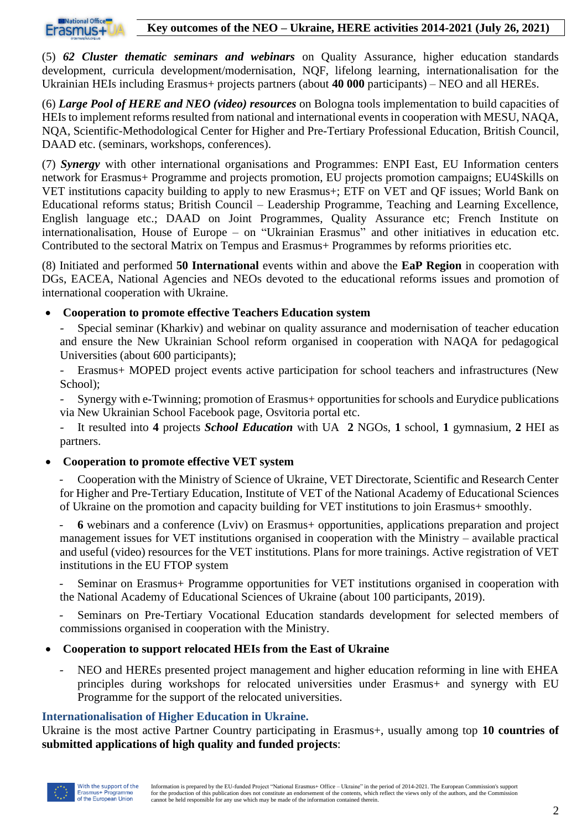

(5) *62 Cluster thematic seminars and webinars* on Quality Assurance, higher education standards development, curricula development/modernisation, NQF, lifelong learning, internationalisation for the Ukrainian HEIs including Erasmus+ projects partners (about **40 000** participants) – NEO and all HEREs.

(6) *Large Pool of HERE and NEO (video) resources* on Bologna tools implementation to build capacities of HEIs to implement reforms resulted from national and international events in cooperation with MESU, NAQA, NQA, Scientific-Methodological Center for Higher and Pre-Tertiary Professional Education, British Council, DAAD etc. (seminars, workshops, conferences).

(7) *Synergy* with other international organisations and Programmes: ENPI East, EU Information centers network for Erasmus+ Programme and projects promotion, EU projects promotion campaigns; EU4Skills on VET institutions capacity building to apply to new Erasmus+; ETF on VET and QF issues; World Bank on Educational reforms status; British Council – Leadership Programme, Teaching and Learning Excellence, English language etc.; DAAD on Joint Programmes, Quality Assurance etc; French Institute on internationalisation, House of Europe – on "Ukrainian Erasmus" and other initiatives in education etc. Contributed to the sectoral Matrix on Tempus and Erasmus+ Programmes by reforms priorities etc.

(8) Initiated and performed **50 International** events within and above the **EaP Region** in cooperation with DGs, EACEA, National Agencies and NEOs devoted to the educational reforms issues and promotion of international cooperation with Ukraine.

### • **Cooperation to promote effective Teachers Education system**

- Special seminar (Kharkiv) and webinar on quality assurance and modernisation of teacher education and ensure the New Ukrainian School reform organised in cooperation with NAQA for pedagogical Universities (about 600 participants);
- Erasmus+ MOPED project events active participation for school teachers and infrastructures (New School);
- Synergy with e-Twinning; promotion of Erasmus+ opportunities for schools and Eurydice publications via New Ukrainian School Facebook page, Osvitoria portal etc.
- It resulted into **4** projects *School Education* with UA **2** NGOs, **1** school, **1** gymnasium, **2** HEI as partners.

### • **Cooperation to promote effective VET system**

- Cooperation with the Ministry of Science of Ukraine, VET Directorate, Scientific and Research Center for Higher and Pre-Tertiary Education, Institute of VET of the National Academy of Educational Sciences of Ukraine on the promotion and capacity building for VET institutions to join Erasmus+ smoothly.

- **6** webinars and a conference (Lviv) on Erasmus+ opportunities, applications preparation and project management issues for VET institutions organised in cooperation with the Ministry – available practical and useful (video) resources for the VET institutions. Plans for more trainings. Active registration of VET institutions in the EU FTOP system

- Seminar on Erasmus+ Programme opportunities for VET institutions organised in cooperation with the National Academy of Educational Sciences of Ukraine (about 100 participants, 2019).

Seminars on Pre-Tertiary Vocational Education standards development for selected members of commissions organised in cooperation with the Ministry*.*

- **Cooperation to support relocated HEIs from the East of Ukraine**
	- NEO and HEREs presented project management and higher education reforming in line with EHEA principles during workshops for relocated universities under Erasmus+ and synergy with EU Programme for the support of the relocated universities.

### **Internationalisation of Higher Education in Ukraine.**

Ukraine is the most active Partner Country participating in Erasmus+, usually among top **10 countries of submitted applications of high quality and funded projects**:

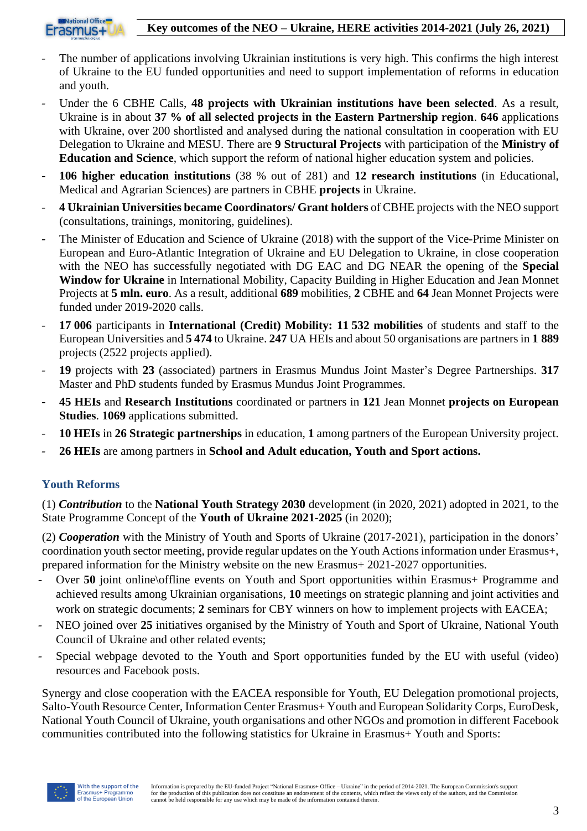



- The number of applications involving Ukrainian institutions is very high. This confirms the high interest of Ukraine to the EU funded opportunities and need to support implementation of reforms in education and youth.
- Under the 6 CBHE Calls, **48 projects with Ukrainian institutions have been selected**. As a result, Ukraine is in about **37 % of all selected projects in the Eastern Partnership region**. **646** applications with Ukraine, over 200 shortlisted and analysed during the national consultation in cooperation with EU Delegation to Ukraine and MESU. There are **9 Structural Projects** with participation of the **Ministry of Education and Science**, which support the reform of national higher education system and policies.
- **106 higher education institutions** (38 % out of 281) and **12 research institutions** (in Educational, Medical and Agrarian Sciences) are partners in CBHE **projects** in Ukraine.
- **4 Ukrainian Universities became Coordinators/ Grant holders** of CBHE projects with the NEO support (consultations, trainings, monitoring, guidelines).
- The Minister of Education and Science of Ukraine (2018) with the support of the Vice-Prime Minister on European and Euro-Atlantic Integration of Ukraine and EU Delegation to Ukraine, in close cooperation with the NEO has successfully negotiated with DG EAC and DG NEAR the opening of the **Special Window for Ukraine** in International Mobility, Capacity Building in Higher Education and Jean Monnet Projects at **5 mln. euro**. As a result, additional **689** mobilities, **2** CBHE and **64** Jean Monnet Projects were funded under 2019-2020 calls.
- **17 006** participants in **International (Credit) Mobility: 11 532 mobilities** of students and staff to the European Universities and **5 474** to Ukraine. **247** UA HEIs and about 50 organisations are partners in **1 889** projects (2522 projects applied).
- **19** projects with **23** (associated) partners in Erasmus Mundus Joint Master's Degree Partnerships. **317** Master and PhD students funded by Erasmus Mundus Joint Programmes.
- **45 HEIs** and **Research Institutions** coordinated or partners in **121** Jean Monnet **projects on European Studies**. **1069** applications submitted.
- **10 HEIs** in **26 Strategic partnerships** in education, **1** among partners of the European University project.
- **26 HEIs** are among partners in **School and Adult education, Youth and Sport actions.**

# **Youth Reforms**

(1) *Contribution* to the **National Youth Strategy 2030** development (in 2020, 2021) adopted in 2021, to the State Programme Concept of the **Youth of Ukraine 2021-2025** (in 2020);

(2) *Cooperation* with the Ministry of Youth and Sports of Ukraine (2017-2021), participation in the donors' coordination youth sector meeting, provide regular updates on the Youth Actions information under Erasmus+, prepared information for the Ministry website on the new Erasmus+ 2021-2027 opportunities.

- Over **50** joint online\offline events on Youth and Sport opportunities within Erasmus+ Programme and achieved results among Ukrainian organisations, **10** meetings on strategic planning and joint activities and work on strategic documents; **2** seminars for CBY winners on how to implement projects with EACEA;
- NEO joined over 25 initiatives organised by the Ministry of Youth and Sport of Ukraine, National Youth Council of Ukraine and other related events;
- Special webpage devoted to the Youth and Sport opportunities funded by the EU with useful (video) resources and Facebook posts.

Synergy and close cooperation with the EACEA responsible for Youth, EU Delegation promotional projects, Salto-Youth Resource Center, Information Center Erasmus+ Youth and European Solidarity Corps, EuroDesk, National Youth Council of Ukraine, youth organisations and other NGOs and promotion in different Facebook communities contributed into the following statistics for Ukraine in Erasmus+ Youth and Sports: